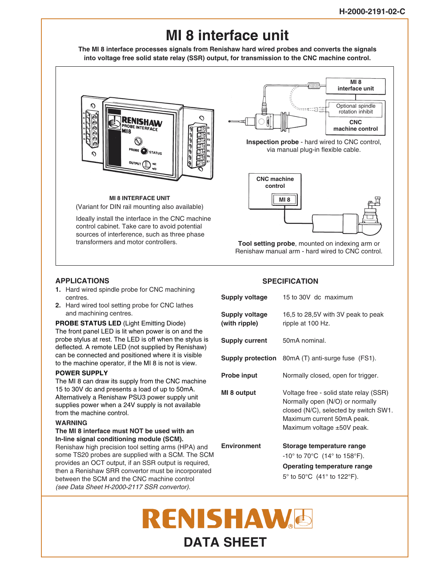# **MI 8 interface unit**

**The MI 8 interface processes signals from Renishaw hard wired probes and converts the signals into voltage free solid state relay (SSR) output, for transmission to the CNC machine control.**



#### **MI 8 INTERFACE UNIT** (Variant for DIN rail mounting also available)

Ideally install the interface in the CNC machine control cabinet. Take care to avoid potential sources of interference, such as three phase transformers and motor controllers.



**Tool setting probe**, mounted on indexing arm or Renishaw manual arm - hard wired to CNC control.

## **APPLICATIONS**

- **1.** Hard wired spindle probe for CNC machining centres.
- **2.** Hard wired tool setting probe for CNC lathes and machining centres.

#### **PROBE STATUS LED** (Light Emitting Diode)

The front panel LED is lit when power is on and the probe stylus at rest. The LED is off when the stylus is deflected. A remote LED (not supplied by Renishaw) can be connected and positioned where it is visible to the machine operator, if the MI 8 is not is view.

#### **POWER SUPPLY**

The MI 8 can draw its supply from the CNC machine 15 to 30V dc and presents a load of up to 50mA. Alternatively a Renishaw PSU3 power supply unit supplies power when a 24V supply is not available from the machine control.

#### **WARNING**

#### **The MI 8 interface must NOT be used with an In-line signal conditioning module (SCM).**

Renishaw high precision tool setting arms (HPA) and some TS20 probes are supplied with a SCM. The SCM provides an OCT output, if an SSR output is required, then a Renishaw SRR convertor must be incorporated between the SCM and the CNC machine control (see Data Sheet H-2000-2117 SSR convertor).

### **SPECIFICATION**

| Supply voltage                  | 15 to 30V dc maximum                                                                                                                                                                |
|---------------------------------|-------------------------------------------------------------------------------------------------------------------------------------------------------------------------------------|
| Supply voltage<br>(with ripple) | 16,5 to 28,5V with 3V peak to peak<br>ripple at 100 Hz.                                                                                                                             |
| <b>Supply current</b>           | 50mA nominal.                                                                                                                                                                       |
|                                 | <b>Supply protection</b> 80mA (T) anti-surge fuse (FS1).                                                                                                                            |
| <b>Probe input</b>              | Normally closed, open for trigger.                                                                                                                                                  |
| MI 8 output                     | Voltage free - solid state relay (SSR)<br>Normally open (N/O) or normally<br>closed (N/C), selected by switch SW1.<br>Maximum current 50mA peak.<br>Maximum voltage $\pm 50V$ peak. |
| <b>Environment</b>              | Storage temperature range<br>$-10^{\circ}$ to 70 $^{\circ}$ C (14 $^{\circ}$ to 158 $^{\circ}$ F).<br>Operating temperature range<br>5° to 50°C (41° to 122°F).                     |

# **RENISHAWE DATA SHEET**